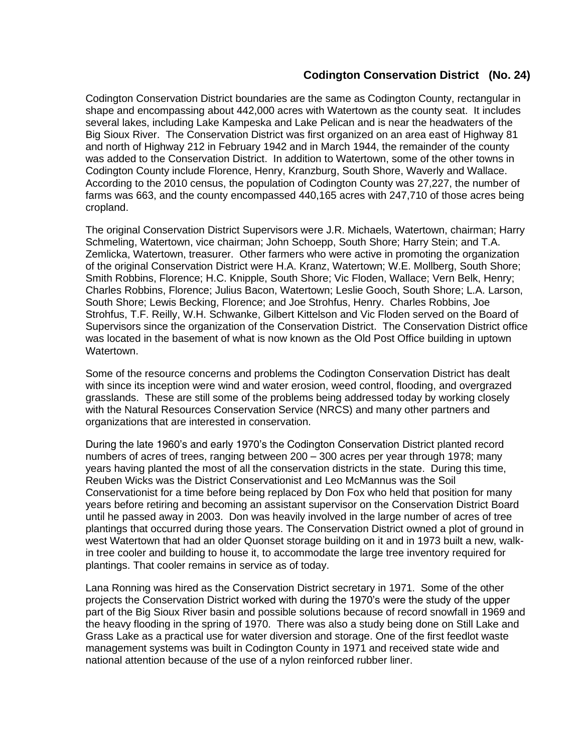## **Codington Conservation District (No. 24)**

Codington Conservation District boundaries are the same as Codington County, rectangular in shape and encompassing about 442,000 acres with Watertown as the county seat. It includes several lakes, including Lake Kampeska and Lake Pelican and is near the headwaters of the Big Sioux River. The Conservation District was first organized on an area east of Highway 81 and north of Highway 212 in February 1942 and in March 1944, the remainder of the county was added to the Conservation District. In addition to Watertown, some of the other towns in Codington County include Florence, Henry, Kranzburg, South Shore, Waverly and Wallace. According to the 2010 census, the population of Codington County was 27,227, the number of farms was 663, and the county encompassed 440,165 acres with 247,710 of those acres being cropland.

The original Conservation District Supervisors were J.R. Michaels, Watertown, chairman; Harry Schmeling, Watertown, vice chairman; John Schoepp, South Shore; Harry Stein; and T.A. Zemlicka, Watertown, treasurer. Other farmers who were active in promoting the organization of the original Conservation District were H.A. Kranz, Watertown; W.E. Mollberg, South Shore; Smith Robbins, Florence; H.C. Knipple, South Shore; Vic Floden, Wallace; Vern Belk, Henry; Charles Robbins, Florence; Julius Bacon, Watertown; Leslie Gooch, South Shore; L.A. Larson, South Shore; Lewis Becking, Florence; and Joe Strohfus, Henry. Charles Robbins, Joe Strohfus, T.F. Reilly, W.H. Schwanke, Gilbert Kittelson and Vic Floden served on the Board of Supervisors since the organization of the Conservation District. The Conservation District office was located in the basement of what is now known as the Old Post Office building in uptown Watertown.

Some of the resource concerns and problems the Codington Conservation District has dealt with since its inception were wind and water erosion, weed control, flooding, and overgrazed grasslands. These are still some of the problems being addressed today by working closely with the Natural Resources Conservation Service (NRCS) and many other partners and organizations that are interested in conservation.

During the late 1960's and early 1970's the Codington Conservation District planted record numbers of acres of trees, ranging between 200 – 300 acres per year through 1978; many years having planted the most of all the conservation districts in the state. During this time, Reuben Wicks was the District Conservationist and Leo McMannus was the Soil Conservationist for a time before being replaced by Don Fox who held that position for many years before retiring and becoming an assistant supervisor on the Conservation District Board until he passed away in 2003. Don was heavily involved in the large number of acres of tree plantings that occurred during those years. The Conservation District owned a plot of ground in west Watertown that had an older Quonset storage building on it and in 1973 built a new, walkin tree cooler and building to house it, to accommodate the large tree inventory required for plantings. That cooler remains in service as of today.

Lana Ronning was hired as the Conservation District secretary in 1971. Some of the other projects the Conservation District worked with during the 1970's were the study of the upper part of the Big Sioux River basin and possible solutions because of record snowfall in 1969 and the heavy flooding in the spring of 1970. There was also a study being done on Still Lake and Grass Lake as a practical use for water diversion and storage. One of the first feedlot waste management systems was built in Codington County in 1971 and received state wide and national attention because of the use of a nylon reinforced rubber liner.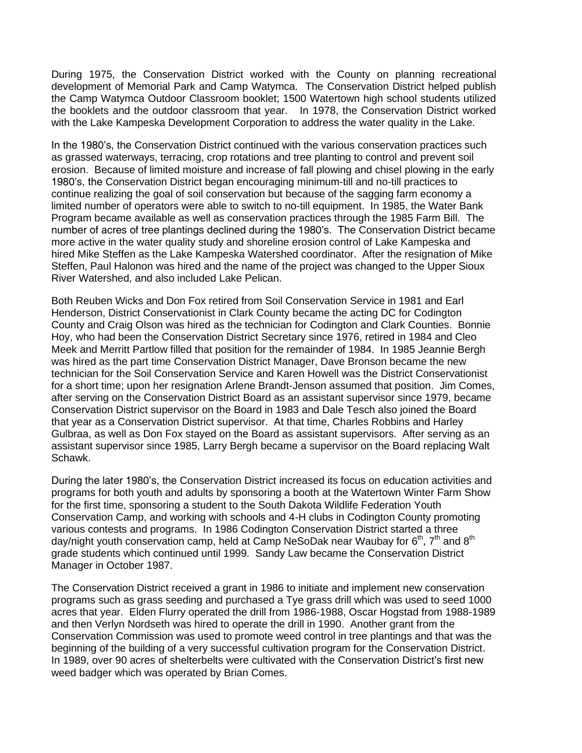During 1975, the Conservation District worked with the County on planning recreational development of Memorial Park and Camp Watymca. The Conservation District helped publish the Camp Watymca Outdoor Classroom booklet; 1500 Watertown high school students utilized the booklets and the outdoor classroom that year. In 1978, the Conservation District worked with the Lake Kampeska Development Corporation to address the water quality in the Lake.

In the 1980's, the Conservation District continued with the various conservation practices such as grassed waterways, terracing, crop rotations and tree planting to control and prevent soil erosion. Because of limited moisture and increase of fall plowing and chisel plowing in the early 1980's, the Conservation District began encouraging minimum-till and no-till practices to continue realizing the goal of soil conservation but because of the sagging farm economy a limited number of operators were able to switch to no-till equipment. In 1985, the Water Bank Program became available as well as conservation practices through the 1985 Farm Bill. The number of acres of tree plantings declined during the 1980's. The Conservation District became more active in the water quality study and shoreline erosion control of Lake Kampeska and hired Mike Steffen as the Lake Kampeska Watershed coordinator. After the resignation of Mike Steffen, Paul Halonon was hired and the name of the project was changed to the Upper Sioux River Watershed, and also included Lake Pelican.

Both Reuben Wicks and Don Fox retired from Soil Conservation Service in 1981 and Earl Henderson, District Conservationist in Clark County became the acting DC for Codington County and Craig Olson was hired as the technician for Codington and Clark Counties. Bonnie Hoy, who had been the Conservation District Secretary since 1976, retired in 1984 and Cleo Meek and Merritt Partlow filled that position for the remainder of 1984. In 1985 Jeannie Bergh was hired as the part time Conservation District Manager, Dave Bronson became the new technician for the Soil Conservation Service and Karen Howell was the District Conservationist for a short time; upon her resignation Arlene Brandt-Jenson assumed that position. Jim Comes, after serving on the Conservation District Board as an assistant supervisor since 1979, became Conservation District supervisor on the Board in 1983 and Dale Tesch also joined the Board that year as a Conservation District supervisor. At that time, Charles Robbins and Harley Gulbraa, as well as Don Fox stayed on the Board as assistant supervisors. After serving as an assistant supervisor since 1985, Larry Bergh became a supervisor on the Board replacing Walt Schawk.

During the later 1980's, the Conservation District increased its focus on education activities and programs for both youth and adults by sponsoring a booth at the Watertown Winter Farm Show for the first time, sponsoring a student to the South Dakota Wildlife Federation Youth Conservation Camp, and working with schools and 4-H clubs in Codington County promoting various contests and programs. In 1986 Codington Conservation District started a three day/night youth conservation camp, held at Camp NeSoDak near Waubay for  $6<sup>th</sup>$ ,  $7<sup>th</sup>$  and  $8<sup>th</sup>$ grade students which continued until 1999. Sandy Law became the Conservation District Manager in October 1987.

The Conservation District received a grant in 1986 to initiate and implement new conservation programs such as grass seeding and purchased a Tye grass drill which was used to seed 1000 acres that year. Elden Flurry operated the drill from 1986-1988, Oscar Hogstad from 1988-1989 and then Verlyn Nordseth was hired to operate the drill in 1990. Another grant from the Conservation Commission was used to promote weed control in tree plantings and that was the beginning of the building of a very successful cultivation program for the Conservation District. In 1989, over 90 acres of shelterbelts were cultivated with the Conservation District's first new weed badger which was operated by Brian Comes.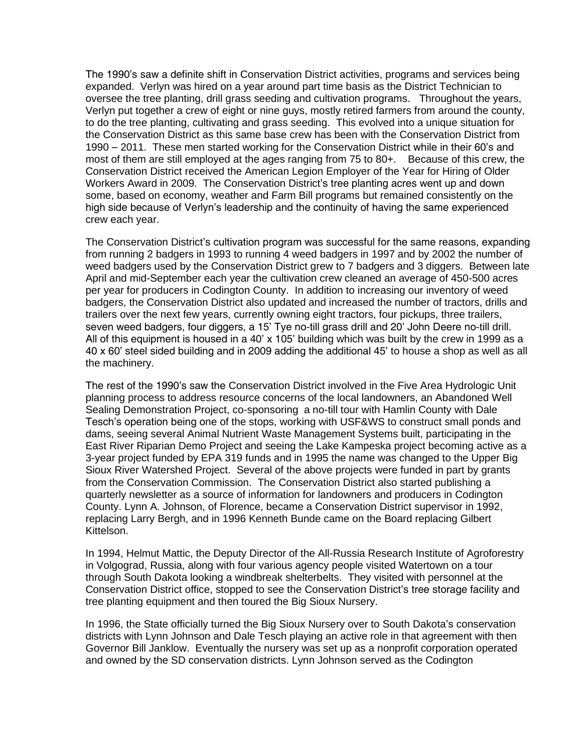The 1990's saw a definite shift in Conservation District activities, programs and services being expanded. Verlyn was hired on a year around part time basis as the District Technician to oversee the tree planting, drill grass seeding and cultivation programs. Throughout the years, Verlyn put together a crew of eight or nine guys, mostly retired farmers from around the county, to do the tree planting, cultivating and grass seeding. This evolved into a unique situation for the Conservation District as this same base crew has been with the Conservation District from 1990 – 2011. These men started working for the Conservation District while in their 60's and most of them are still employed at the ages ranging from 75 to 80+. Because of this crew, the Conservation District received the American Legion Employer of the Year for Hiring of Older Workers Award in 2009. The Conservation District's tree planting acres went up and down some, based on economy, weather and Farm Bill programs but remained consistently on the high side because of Verlyn's leadership and the continuity of having the same experienced crew each year.

The Conservation District's cultivation program was successful for the same reasons, expanding from running 2 badgers in 1993 to running 4 weed badgers in 1997 and by 2002 the number of weed badgers used by the Conservation District grew to 7 badgers and 3 diggers. Between late April and mid-September each year the cultivation crew cleaned an average of 450-500 acres per year for producers in Codington County. In addition to increasing our inventory of weed badgers, the Conservation District also updated and increased the number of tractors, drills and trailers over the next few years, currently owning eight tractors, four pickups, three trailers, seven weed badgers, four diggers, a 15' Tye no-till grass drill and 20' John Deere no-till drill. All of this equipment is housed in a 40' x 105' building which was built by the crew in 1999 as a 40 x 60' steel sided building and in 2009 adding the additional 45' to house a shop as well as all the machinery.

The rest of the 1990's saw the Conservation District involved in the Five Area Hydrologic Unit planning process to address resource concerns of the local landowners, an Abandoned Well Sealing Demonstration Project, co-sponsoring a no-till tour with Hamlin County with Dale Tesch's operation being one of the stops, working with USF&WS to construct small ponds and dams, seeing several Animal Nutrient Waste Management Systems built, participating in the East River Riparian Demo Project and seeing the Lake Kampeska project becoming active as a 3-year project funded by EPA 319 funds and in 1995 the name was changed to the Upper Big Sioux River Watershed Project. Several of the above projects were funded in part by grants from the Conservation Commission. The Conservation District also started publishing a quarterly newsletter as a source of information for landowners and producers in Codington County. Lynn A. Johnson, of Florence, became a Conservation District supervisor in 1992, replacing Larry Bergh, and in 1996 Kenneth Bunde came on the Board replacing Gilbert Kittelson.

In 1994, Helmut Mattic, the Deputy Director of the All-Russia Research Institute of Agroforestry in Volgograd, Russia, along with four various agency people visited Watertown on a tour through South Dakota looking a windbreak shelterbelts. They visited with personnel at the Conservation District office, stopped to see the Conservation District's tree storage facility and tree planting equipment and then toured the Big Sioux Nursery.

In 1996, the State officially turned the Big Sioux Nursery over to South Dakota's conservation districts with Lynn Johnson and Dale Tesch playing an active role in that agreement with then Governor Bill Janklow. Eventually the nursery was set up as a nonprofit corporation operated and owned by the SD conservation districts. Lynn Johnson served as the Codington